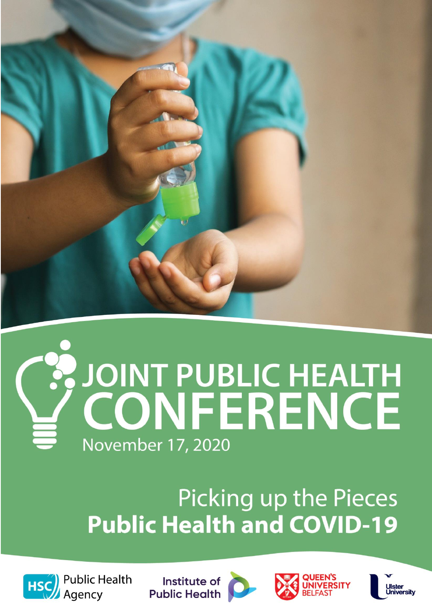

# **EXPOINT PUBLIC HEALTH November 17, 2020**

# Picking up the Pieces **Public Health and COVID-19**



**Public Health** Agency

Institute of **Public Health** 





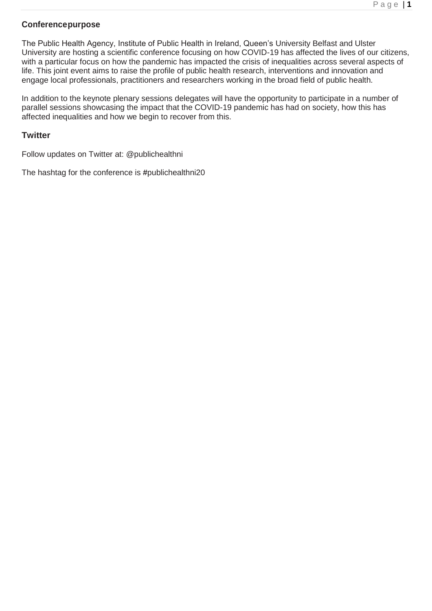# **Conferencepurpose**

The Public Health Agency, Institute of Public Health in Ireland, Queen's University Belfast and Ulster University are hosting a scientific conference focusing on how COVID-19 has affected the lives of our citizens, with a particular focus on how the pandemic has impacted the crisis of inequalities across several aspects of life. This joint event aims to raise the profile of public health research, interventions and innovation and engage local professionals, practitioners and researchers working in the broad field of public health.

In addition to the keynote plenary sessions delegates will have the opportunity to participate in a number of parallel sessions showcasing the impact that the COVID-19 pandemic has had on society, how this has affected inequalities and how we begin to recover from this.

# **Twitter**

Follow updates on Twitter at: @publichealthni

The hashtag for the conference is **#**publichealthni20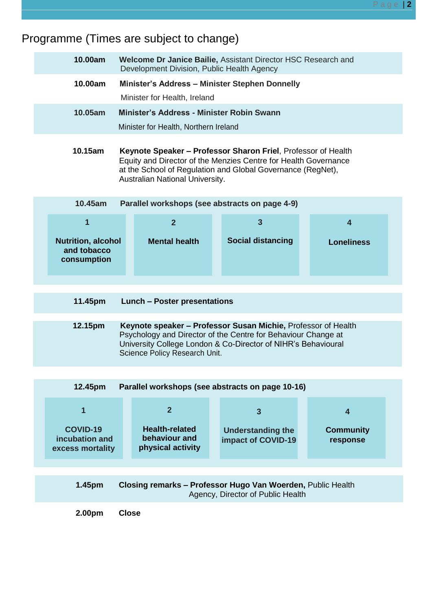# Programme (Times are subject to change)

| 10.00am | <b>Welcome Dr Janice Bailie, Assistant Director HSC Research and</b><br>Development Division, Public Health Agency |
|---------|--------------------------------------------------------------------------------------------------------------------|
| 10.00am | <b>Minister's Address - Minister Stephen Donnelly</b><br>Minister for Health, Ireland                              |
| 10.05am | Minister's Address - Minister Robin Swann<br>Minister for Health, Northern Ireland                                 |
|         |                                                                                                                    |

 **10.15am Keynote Speaker – Professor Sharon Friel**, Professor of Health Equity and Director of the Menzies Centre for Health Governance at the School of Regulation and Global Governance (RegNet), Australian National University.

| 10.45am                                                 | Parallel workshops (see abstracts on page 4-9) |                          |                   |
|---------------------------------------------------------|------------------------------------------------|--------------------------|-------------------|
|                                                         |                                                |                          |                   |
| <b>Nutrition, alcohol</b><br>and tobacco<br>consumption | <b>Mental health</b>                           | <b>Social distancing</b> | <b>Loneliness</b> |

- **11.45pm Lunch – Poster presentations**
- **12.15pm Keynote speaker – Professor Susan Michie,** Professor of Health Psychology and Director of the Centre for Behaviour Change at University College London & Co-Director of NIHR's Behavioural Science Policy Research Unit.

| Parallel workshops (see abstracts on page 10-16)<br>12.45pm |                                                             |                                                |                              |  |  |  |  |  |
|-------------------------------------------------------------|-------------------------------------------------------------|------------------------------------------------|------------------------------|--|--|--|--|--|
|                                                             |                                                             |                                                |                              |  |  |  |  |  |
| <b>COVID-19</b><br>incubation and<br>excess mortality       | <b>Health-related</b><br>behaviour and<br>physical activity | <b>Understanding the</b><br>impact of COVID-19 | <b>Community</b><br>response |  |  |  |  |  |

| 1.45pm | <b>Closing remarks - Professor Hugo Van Woerden, Public Health</b> |  |  |
|--------|--------------------------------------------------------------------|--|--|
|        | Agency, Director of Public Health                                  |  |  |

**2.00pm Close**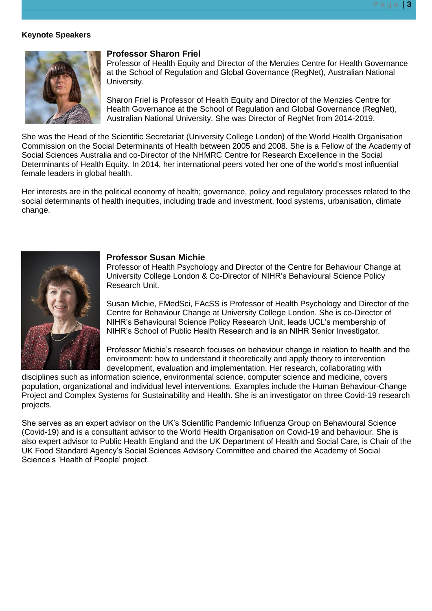## **Keynote Speakers**



#### **Professor Sharon Friel**

Professor of Health Equity and Director of the Menzies Centre for Health Governance at the School of Regulation and Global Governance (RegNet), Australian National University.

Sharon Friel is Professor of Health Equity and Director of the Menzies Centre for Health Governance at the School of Regulation and Global Governance (RegNet), Australian National University. She was Director of RegNet from 2014-2019.

She was the Head of the Scientific Secretariat (University College London) of the World Health Organisation Commission on the Social Determinants of Health between 2005 and 2008. She is a Fellow of the Academy of Social Sciences Australia and co-Director of the NHMRC Centre for Research Excellence in the Social Determinants of Health Equity. In 2014, her international peers voted her one of the world's most influential female leaders in global health.

Her interests are in the political economy of health; governance, policy and regulatory processes related to the social determinants of health inequities, including trade and investment, food systems, urbanisation, climate change.



#### **Professor Susan Michie**

Professor of Health Psychology and Director of the Centre for Behaviour Change at University College London & Co-Director of NIHR's Behavioural Science Policy Research Unit.

Susan Michie, FMedSci, FAcSS is Professor of Health Psychology and Director of the Centre for Behaviour Change at University College London. She is co-Director of NIHR's Behavioural Science Policy Research Unit, leads UCL's membership of NIHR's School of Public Health Research and is an NIHR Senior Investigator.

Professor Michie's research focuses on behaviour change in relation to health and the environment: how to understand it theoretically and apply theory to intervention development, evaluation and implementation. Her research, collaborating with

disciplines such as information science, environmental science, computer science and medicine, covers population, organizational and individual level interventions. Examples include the Human Behaviour-Change Project and Complex Systems for Sustainability and Health. She is an investigator on three Covid-19 research projects.

She serves as an expert advisor on the UK's Scientific Pandemic Influenza Group on Behavioural Science (Covid-19) and is a consultant advisor to the World Health Organisation on Covid-19 and behaviour. She is also expert advisor to Public Health England and the UK Department of Health and Social Care, is Chair of the UK Food Standard Agency's Social Sciences Advisory Committee and chaired the Academy of Social Science's 'Health of People' project.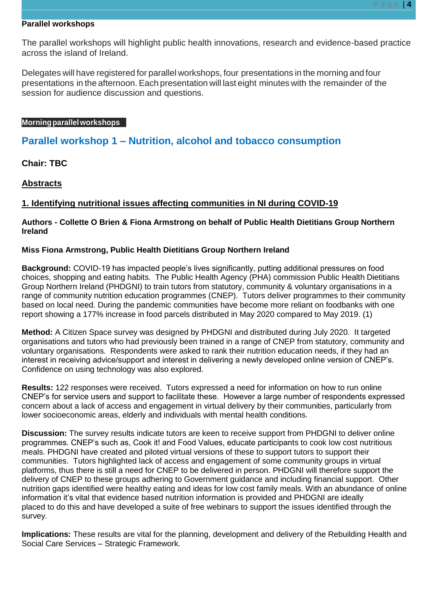#### **Parallel workshops**

The parallel workshops will highlight public health innovations, research and evidence-based practice across the island of Ireland.

Delegates will have registered for parallel workshops, four presentations in the morning and four presentations in the afternoon. Each presentation will last eight minutes with the remainder of the session for audience discussion and questions.

#### **Morningparallelworkshops**

# **Parallel workshop 1 – Nutrition, alcohol and tobacco consumption**

**Chair: TBC**

# **Abstracts**

# **1. Identifying nutritional issues affecting communities in NI during COVID-19**

# **Authors - Collette O Brien & Fiona Armstrong on behalf of Public Health Dietitians Group Northern Ireland**

# **Miss Fiona Armstrong, Public Health Dietitians Group Northern Ireland**

**Background:** COVID-19 has impacted people's lives significantly, putting additional pressures on food choices, shopping and eating habits. The Public Health Agency (PHA) commission Public Health Dietitians Group Northern Ireland (PHDGNI) to train tutors from statutory, community & voluntary organisations in a range of community nutrition education programmes (CNEP). Tutors deliver programmes to their community based on local need. During the pandemic communities have become more reliant on foodbanks with one report showing a 177% increase in food parcels distributed in May 2020 compared to May 2019. (1)

**Method:** A Citizen Space survey was designed by PHDGNI and distributed during July 2020. It targeted organisations and tutors who had previously been trained in a range of CNEP from statutory, community and voluntary organisations. Respondents were asked to rank their nutrition education needs, if they had an interest in receiving advice/support and interest in delivering a newly developed online version of CNEP's. Confidence on using technology was also explored.

**Results:** 122 responses were received. Tutors expressed a need for information on how to run online CNEP's for service users and support to facilitate these. However a large number of respondents expressed concern about a lack of access and engagement in virtual delivery by their communities, particularly from lower socioeconomic areas, elderly and individuals with mental health conditions.

**Discussion:** The survey results indicate tutors are keen to receive support from PHDGNI to deliver online programmes. CNEP's such as, Cook it! and Food Values, educate participants to cook low cost nutritious meals. PHDGNI have created and piloted virtual versions of these to support tutors to support their communities. Tutors highlighted lack of access and engagement of some community groups in virtual platforms, thus there is still a need for CNEP to be delivered in person. PHDGNI will therefore support the delivery of CNEP to these groups adhering to Government guidance and including financial support. Other nutrition gaps identified were healthy eating and ideas for low cost family meals. With an abundance of online information it's vital that evidence based nutrition information is provided and PHDGNI are ideally placed to do this and have developed a suite of free webinars to support the issues identified through the survey.

**Implications:** These results are vital for the planning, development and delivery of the Rebuilding Health and Social Care Services – Strategic Framework.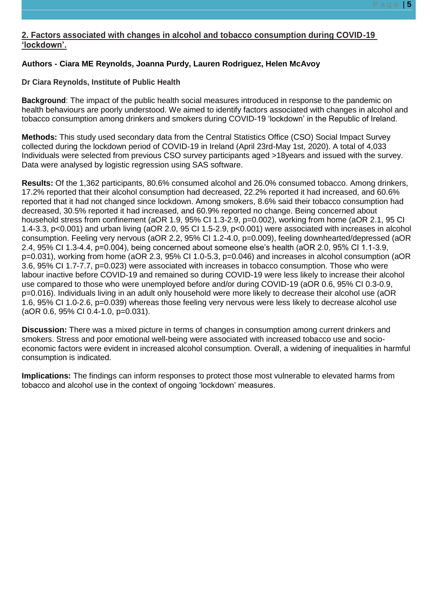# **2. Factors associated with changes in alcohol and tobacco consumption during COVID-19 'lockdown'.**

# **Authors - Ciara ME Reynolds, Joanna Purdy, Lauren Rodriguez, Helen McAvoy**

# **Dr Ciara Reynolds, Institute of Public Health**

**Background**: The impact of the public health social measures introduced in response to the pandemic on health behaviours are poorly understood. We aimed to identify factors associated with changes in alcohol and tobacco consumption among drinkers and smokers during COVID-19 'lockdown' in the Republic of Ireland.

**Methods:** This study used secondary data from the Central Statistics Office (CSO) Social Impact Survey collected during the lockdown period of COVID-19 in Ireland (April 23rd-May 1st, 2020). A total of 4,033 Individuals were selected from previous CSO survey participants aged >18years and issued with the survey. Data were analysed by logistic regression using SAS software.

**Results:** Of the 1,362 participants, 80.6% consumed alcohol and 26.0% consumed tobacco. Among drinkers, 17.2% reported that their alcohol consumption had decreased, 22.2% reported it had increased, and 60.6% reported that it had not changed since lockdown. Among smokers, 8.6% said their tobacco consumption had decreased, 30.5% reported it had increased, and 60.9% reported no change. Being concerned about household stress from confinement (aOR 1.9, 95% CI 1.3-2.9, p=0.002), working from home (aOR 2.1, 95 CI 1.4-3.3, p<0.001) and urban living (aOR 2.0, 95 CI 1.5-2.9, p<0.001) were associated with increases in alcohol consumption. Feeling very nervous (aOR 2.2, 95% CI 1.2-4.0, p=0.009), feeling downhearted/depressed (aOR 2.4, 95% CI 1.3-4.4, p=0.004), being concerned about someone else's health (aOR 2.0, 95% CI 1.1-3.9, p=0.031), working from home (aOR 2.3, 95% CI 1.0-5.3, p=0.046) and increases in alcohol consumption (aOR 3.6, 95% CI 1.7-7.7, p=0.023) were associated with increases in tobacco consumption. Those who were labour inactive before COVID-19 and remained so during COVID-19 were less likely to increase their alcohol use compared to those who were unemployed before and/or during COVID-19 (aOR 0.6, 95% CI 0.3-0.9, p=0.016). Individuals living in an adult only household were more likely to decrease their alcohol use (aOR 1.6, 95% CI 1.0-2.6, p=0.039) whereas those feeling very nervous were less likely to decrease alcohol use (aOR 0.6, 95% CI 0.4-1.0, p=0.031).

**Discussion:** There was a mixed picture in terms of changes in consumption among current drinkers and smokers. Stress and poor emotional well-being were associated with increased tobacco use and socioeconomic factors were evident in increased alcohol consumption. Overall, a widening of inequalities in harmful consumption is indicated.

**Implications:** The findings can inform responses to protect those most vulnerable to elevated harms from tobacco and alcohol use in the context of ongoing 'lockdown' measures.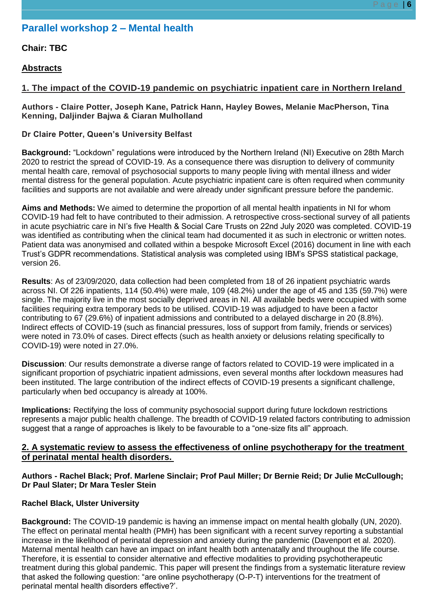# **Parallel workshop 2 – Mental health**

# **Chair: TBC**

# **Abstracts**

# **1. The impact of the COVID-19 pandemic on psychiatric inpatient care in Northern Ireland**

## **Authors - Claire Potter, Joseph Kane, Patrick Hann, Hayley Bowes, Melanie MacPherson, Tina Kenning, Daljinder Bajwa & Ciaran Mulholland**

# **Dr Claire Potter, Queen's University Belfast**

**Background:** "Lockdown" regulations were introduced by the Northern Ireland (NI) Executive on 28th March 2020 to restrict the spread of COVID-19. As a consequence there was disruption to delivery of community mental health care, removal of psychosocial supports to many people living with mental illness and wider mental distress for the general population. Acute psychiatric inpatient care is often required when community facilities and supports are not available and were already under significant pressure before the pandemic.

**Aims and Methods:** We aimed to determine the proportion of all mental health inpatients in NI for whom COVID-19 had felt to have contributed to their admission. A retrospective cross-sectional survey of all patients in acute psychiatric care in NI's five Health & Social Care Trusts on 22nd July 2020 was completed. COVID-19 was identified as contributing when the clinical team had documented it as such in electronic or written notes. Patient data was anonymised and collated within a bespoke Microsoft Excel (2016) document in line with each Trust's GDPR recommendations. Statistical analysis was completed using IBM's SPSS statistical package, version 26.

**Results**: As of 23/09/2020, data collection had been completed from 18 of 26 inpatient psychiatric wards across NI. Of 226 inpatients, 114 (50.4%) were male, 109 (48.2%) under the age of 45 and 135 (59.7%) were single. The majority live in the most socially deprived areas in NI. All available beds were occupied with some facilities requiring extra temporary beds to be utilised. COVID-19 was adjudged to have been a factor contributing to 67 (29.6%) of inpatient admissions and contributed to a delayed discharge in 20 (8.8%). Indirect effects of COVID-19 (such as financial pressures, loss of support from family, friends or services) were noted in 73.0% of cases. Direct effects (such as health anxiety or delusions relating specifically to COVID-19) were noted in 27.0%.

**Discussion**: Our results demonstrate a diverse range of factors related to COVID-19 were implicated in a significant proportion of psychiatric inpatient admissions, even several months after lockdown measures had been instituted. The large contribution of the indirect effects of COVID-19 presents a significant challenge, particularly when bed occupancy is already at 100%.

**Implications:** Rectifying the loss of community psychosocial support during future lockdown restrictions represents a major public health challenge. The breadth of COVID-19 related factors contributing to admission suggest that a range of approaches is likely to be favourable to a "one-size fits all" approach.

# **2. A systematic review to assess the effectiveness of online psychotherapy for the treatment of perinatal mental health disorders.**

# **Authors - Rachel Black; Prof. Marlene Sinclair; Prof Paul Miller; Dr Bernie Reid; Dr Julie McCullough; Dr Paul Slater; Dr Mara Tesler Stein**

# **Rachel Black, Ulster University**

**Background:** The COVID-19 pandemic is having an immense impact on mental health globally (UN, 2020). The effect on perinatal mental health (PMH) has been significant with a recent survey reporting a substantial increase in the likelihood of perinatal depression and anxiety during the pandemic (Davenport et al. 2020). Maternal mental health can have an impact on infant health both antenatally and throughout the life course. Therefore, it is essential to consider alternative and effective modalities to providing psychotherapeutic treatment during this global pandemic. This paper will present the findings from a systematic literature review that asked the following question: "are online psychotherapy (O-P-T) interventions for the treatment of perinatal mental health disorders effective?'.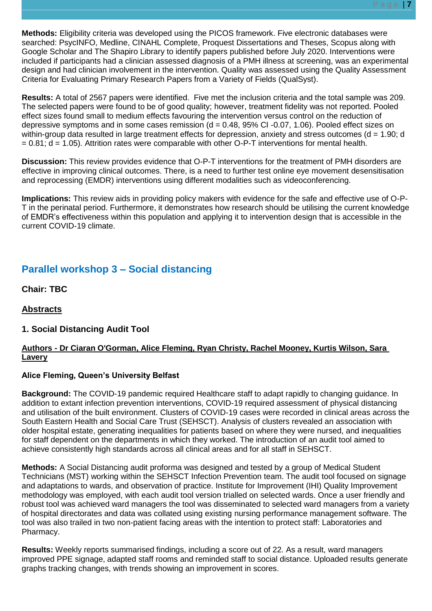**Methods:** Eligibility criteria was developed using the PICOS framework. Five electronic databases were searched: PsycINFO, Medline, CINAHL Complete, Proquest Dissertations and Theses, Scopus along with Google Scholar and The Shapiro Library to identify papers published before July 2020. Interventions were included if participants had a clinician assessed diagnosis of a PMH illness at screening, was an experimental design and had clinician involvement in the intervention. Quality was assessed using the Quality Assessment Criteria for Evaluating Primary Research Papers from a Variety of Fields (QualSyst).

**Results:** A total of 2567 papers were identified. Five met the inclusion criteria and the total sample was 209. The selected papers were found to be of good quality; however, treatment fidelity was not reported. Pooled effect sizes found small to medium effects favouring the intervention versus control on the reduction of depressive symptoms and in some cases remission  $(d = 0.48, 95\%$  CI-0.07, 1.06). Pooled effect sizes on within-group data resulted in large treatment effects for depression, anxiety and stress outcomes (d = 1.90; d  $= 0.81$ ; d  $= 1.05$ ). Attrition rates were comparable with other O-P-T interventions for mental health.

**Discussion:** This review provides evidence that O-P-T interventions for the treatment of PMH disorders are effective in improving clinical outcomes. There, is a need to further test online eye movement desensitisation and reprocessing (EMDR) interventions using different modalities such as videoconferencing.

**Implications:** This review aids in providing policy makers with evidence for the safe and effective use of O-P-T in the perinatal period. Furthermore, it demonstrates how research should be utilising the current knowledge of EMDR's effectiveness within this population and applying it to intervention design that is accessible in the current COVID-19 climate.

# **Parallel workshop 3 – Social distancing**

**Chair: TBC**

# **Abstracts**

# **1. Social Distancing Audit Tool**

# **Authors - Dr Ciaran O'Gorman, Alice Fleming, Ryan Christy, Rachel Mooney, Kurtis Wilson, Sara Lavery**

# **Alice Fleming, Queen's University Belfast**

**Background:** The COVID-19 pandemic required Healthcare staff to adapt rapidly to changing guidance. In addition to extant infection prevention interventions, COVID-19 required assessment of physical distancing and utilisation of the built environment. Clusters of COVID-19 cases were recorded in clinical areas across the South Eastern Health and Social Care Trust (SEHSCT). Analysis of clusters revealed an association with older hospital estate, generating inequalities for patients based on where they were nursed, and inequalities for staff dependent on the departments in which they worked. The introduction of an audit tool aimed to achieve consistently high standards across all clinical areas and for all staff in SEHSCT.

**Methods:** A Social Distancing audit proforma was designed and tested by a group of Medical Student Technicians (MST) working within the SEHSCT Infection Prevention team. The audit tool focused on signage and adaptations to wards, and observation of practice. Institute for Improvement (IHI) Quality Improvement methodology was employed, with each audit tool version trialled on selected wards. Once a user friendly and robust tool was achieved ward managers the tool was disseminated to selected ward managers from a variety of hospital directorates and data was collated using existing nursing performance management software. The tool was also trailed in two non-patient facing areas with the intention to protect staff: Laboratories and Pharmacy.

**Results:** Weekly reports summarised findings, including a score out of 22. As a result, ward managers improved PPE signage, adapted staff rooms and reminded staff to social distance. Uploaded results generate graphs tracking changes, with trends showing an improvement in scores.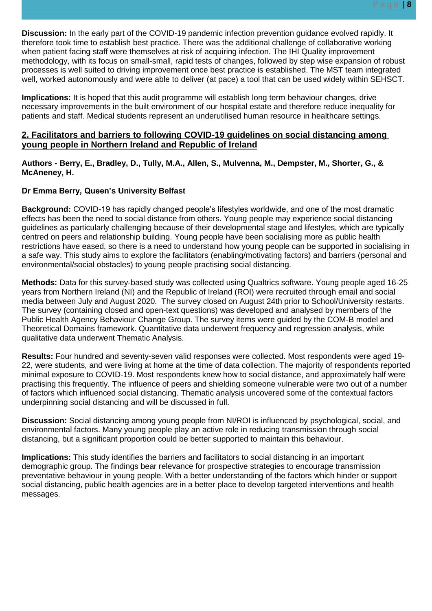**Discussion:** In the early part of the COVID-19 pandemic infection prevention guidance evolved rapidly. It therefore took time to establish best practice. There was the additional challenge of collaborative working when patient facing staff were themselves at risk of acquiring infection. The IHI Quality improvement methodology, with its focus on small-small, rapid tests of changes, followed by step wise expansion of robust processes is well suited to driving improvement once best practice is established. The MST team integrated well, worked autonomously and were able to deliver (at pace) a tool that can be used widely within SEHSCT.

**Implications:** It is hoped that this audit programme will establish long term behaviour changes, drive necessary improvements in the built environment of our hospital estate and therefore reduce inequality for patients and staff. Medical students represent an underutilised human resource in healthcare settings.

# **2. Facilitators and barriers to following COVID-19 guidelines on social distancing among young people in Northern Ireland and Republic of Ireland**

**Authors - Berry, E., Bradley, D., Tully, M.A., Allen, S., Mulvenna, M., Dempster, M., Shorter, G., & McAneney, H.** 

# **Dr Emma Berry, Queen's University Belfast**

**Background:** COVID-19 has rapidly changed people's lifestyles worldwide, and one of the most dramatic effects has been the need to social distance from others. Young people may experience social distancing guidelines as particularly challenging because of their developmental stage and lifestyles, which are typically centred on peers and relationship building. Young people have been socialising more as public health restrictions have eased, so there is a need to understand how young people can be supported in socialising in a safe way. This study aims to explore the facilitators (enabling/motivating factors) and barriers (personal and environmental/social obstacles) to young people practising social distancing.

**Methods:** Data for this survey-based study was collected using Qualtrics software. Young people aged 16-25 years from Northern Ireland (NI) and the Republic of Ireland (ROI) were recruited through email and social media between July and August 2020. The survey closed on August 24th prior to School/University restarts. The survey (containing closed and open-text questions) was developed and analysed by members of the Public Health Agency Behaviour Change Group. The survey items were guided by the COM-B model and Theoretical Domains framework. Quantitative data underwent frequency and regression analysis, while qualitative data underwent Thematic Analysis.

**Results:** Four hundred and seventy-seven valid responses were collected. Most respondents were aged 19- 22, were students, and were living at home at the time of data collection. The majority of respondents reported minimal exposure to COVID-19. Most respondents knew how to social distance, and approximately half were practising this frequently. The influence of peers and shielding someone vulnerable were two out of a number of factors which influenced social distancing. Thematic analysis uncovered some of the contextual factors underpinning social distancing and will be discussed in full.

**Discussion:** Social distancing among young people from NI/ROI is influenced by psychological, social, and environmental factors. Many young people play an active role in reducing transmission through social distancing, but a significant proportion could be better supported to maintain this behaviour.

**Implications:** This study identifies the barriers and facilitators to social distancing in an important demographic group. The findings bear relevance for prospective strategies to encourage transmission preventative behaviour in young people. With a better understanding of the factors which hinder or support social distancing, public health agencies are in a better place to develop targeted interventions and health messages.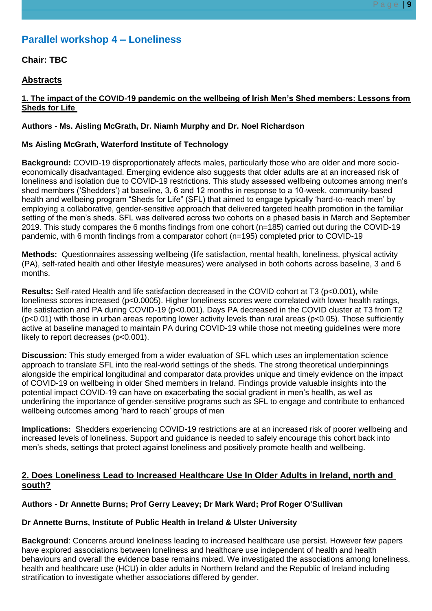# **Parallel workshop 4 – Loneliness**

# **Chair: TBC**

# **Abstracts**

# **1. The impact of the COVID-19 pandemic on the wellbeing of Irish Men's Shed members: Lessons from Sheds for Life**

# **Authors - Ms. Aisling McGrath, Dr. Niamh Murphy and Dr. Noel Richardson**

## **Ms Aisling McGrath, Waterford Institute of Technology**

**Background:** COVID-19 disproportionately affects males, particularly those who are older and more socioeconomically disadvantaged. Emerging evidence also suggests that older adults are at an increased risk of loneliness and isolation due to COVID-19 restrictions. This study assessed wellbeing outcomes among men's shed members ('Shedders') at baseline, 3, 6 and 12 months in response to a 10-week, community-based health and wellbeing program "Sheds for Life" (SFL) that aimed to engage typically 'hard-to-reach men' by employing a collaborative, gender-sensitive approach that delivered targeted health promotion in the familiar setting of the men's sheds. SFL was delivered across two cohorts on a phased basis in March and September 2019. This study compares the 6 months findings from one cohort (n=185) carried out during the COVID-19 pandemic, with 6 month findings from a comparator cohort (n=195) completed prior to COVID-19

**Methods:** Questionnaires assessing wellbeing (life satisfaction, mental health, loneliness, physical activity (PA), self-rated health and other lifestyle measures) were analysed in both cohorts across baseline, 3 and 6 months.

**Results:** Self-rated Health and life satisfaction decreased in the COVID cohort at T3 (p<0.001), while loneliness scores increased (p<0.0005). Higher loneliness scores were correlated with lower health ratings, life satisfaction and PA during COVID-19 (p<0.001). Days PA decreased in the COVID cluster at T3 from T2 (p<0.01) with those in urban areas reporting lower activity levels than rural areas (p<0.05). Those sufficiently active at baseline managed to maintain PA during COVID-19 while those not meeting guidelines were more likely to report decreases (p<0.001).

**Discussion:** This study emerged from a wider evaluation of SFL which uses an implementation science approach to translate SFL into the real-world settings of the sheds. The strong theoretical underpinnings alongside the empirical longitudinal and comparator data provides unique and timely evidence on the impact of COVID-19 on wellbeing in older Shed members in Ireland. Findings provide valuable insights into the potential impact COVID-19 can have on exacerbating the social gradient in men's health, as well as underlining the importance of gender-sensitive programs such as SFL to engage and contribute to enhanced wellbeing outcomes among 'hard to reach' groups of men

**Implications:** Shedders experiencing COVID-19 restrictions are at an increased risk of poorer wellbeing and increased levels of loneliness. Support and guidance is needed to safely encourage this cohort back into men's sheds, settings that protect against loneliness and positively promote health and wellbeing.

# **2. Does Loneliness Lead to Increased Healthcare Use In Older Adults in Ireland, north and south?**

# **Authors - Dr Annette Burns; Prof Gerry Leavey; Dr Mark Ward; Prof Roger O'Sullivan**

# **Dr Annette Burns, Institute of Public Health in Ireland & Ulster University**

**Background**: Concerns around loneliness leading to increased healthcare use persist. However few papers have explored associations between loneliness and healthcare use independent of health and health behaviours and overall the evidence base remains mixed. We investigated the associations among loneliness, health and healthcare use (HCU) in older adults in Northern Ireland and the Republic of Ireland including stratification to investigate whether associations differed by gender.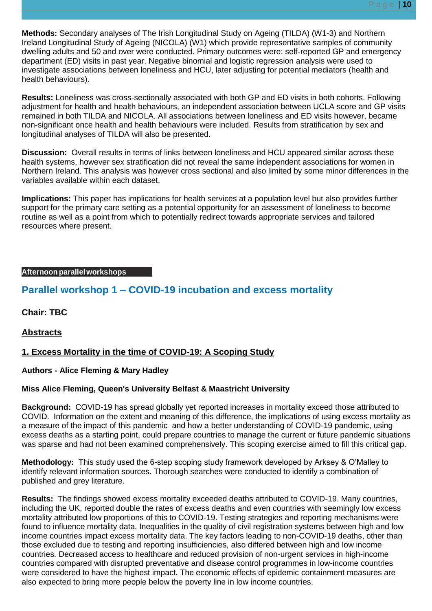**Methods:** Secondary analyses of The Irish Longitudinal Study on Ageing (TILDA) (W1-3) and Northern Ireland Longitudinal Study of Ageing (NICOLA) (W1) which provide representative samples of community dwelling adults and 50 and over were conducted. Primary outcomes were: self-reported GP and emergency department (ED) visits in past year. Negative binomial and logistic regression analysis were used to investigate associations between loneliness and HCU, later adjusting for potential mediators (health and health behaviours).

**Results:** Loneliness was cross-sectionally associated with both GP and ED visits in both cohorts. Following adjustment for health and health behaviours, an independent association between UCLA score and GP visits remained in both TILDA and NICOLA. All associations between loneliness and ED visits however, became non-significant once health and health behaviours were included. Results from stratification by sex and longitudinal analyses of TILDA will also be presented.

**Discussion:** Overall results in terms of links between loneliness and HCU appeared similar across these health systems, however sex stratification did not reveal the same independent associations for women in Northern Ireland. This analysis was however cross sectional and also limited by some minor differences in the variables available within each dataset.

**Implications:** This paper has implications for health services at a population level but also provides further support for the primary care setting as a potential opportunity for an assessment of loneliness to become routine as well as a point from which to potentially redirect towards appropriate services and tailored resources where present.

# **Afternoon parallelworkshops**

# **Parallel workshop 1 – COVID-19 incubation and excess mortality**

**Chair: TBC**

**Abstracts**

# **1. Excess Mortality in the time of COVID-19: A Scoping Study**

# **Authors - Alice Fleming & Mary Hadley**

# **Miss Alice Fleming, Queen's University Belfast & Maastricht University**

**Background:** COVID-19 has spread globally yet reported increases in mortality exceed those attributed to COVID. Information on the extent and meaning of this difference, the implications of using excess mortality as a measure of the impact of this pandemic and how a better understanding of COVID-19 pandemic, using excess deaths as a starting point, could prepare countries to manage the current or future pandemic situations was sparse and had not been examined comprehensively. This scoping exercise aimed to fill this critical gap.

**Methodology:** This study used the 6-step scoping study framework developed by Arksey & O'Malley to identify relevant information sources. Thorough searches were conducted to identify a combination of published and grey literature.

**Results:** The findings showed excess mortality exceeded deaths attributed to COVID-19. Many countries, including the UK, reported double the rates of excess deaths and even countries with seemingly low excess mortality attributed low proportions of this to COVID-19. Testing strategies and reporting mechanisms were found to influence mortality data. Inequalities in the quality of civil registration systems between high and low income countries impact excess mortality data. The key factors leading to non-COVID-19 deaths, other than those excluded due to testing and reporting insufficiencies, also differed between high and low income countries. Decreased access to healthcare and reduced provision of non-urgent services in high-income countries compared with disrupted preventative and disease control programmes in low-income countries were considered to have the highest impact. The economic effects of epidemic containment measures are also expected to bring more people below the poverty line in low income countries.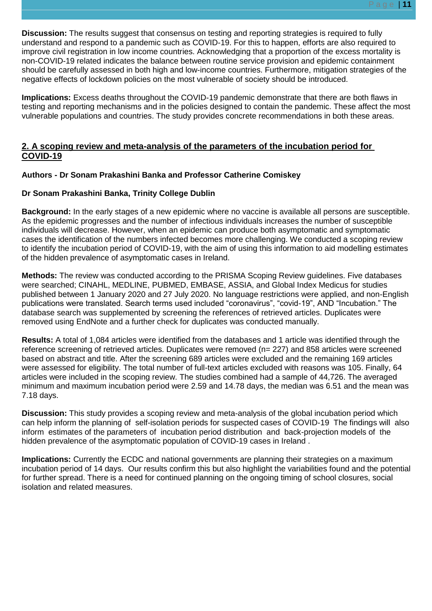**Discussion:** The results suggest that consensus on testing and reporting strategies is required to fully understand and respond to a pandemic such as COVID-19. For this to happen, efforts are also required to improve civil registration in low income countries. Acknowledging that a proportion of the excess mortality is non-COVID-19 related indicates the balance between routine service provision and epidemic containment should be carefully assessed in both high and low-income countries. Furthermore, mitigation strategies of the negative effects of lockdown policies on the most vulnerable of society should be introduced.

**Implications:** Excess deaths throughout the COVID-19 pandemic demonstrate that there are both flaws in testing and reporting mechanisms and in the policies designed to contain the pandemic. These affect the most vulnerable populations and countries. The study provides concrete recommendations in both these areas.

# **2. A scoping review and meta-analysis of the parameters of the incubation period for COVID-19**

# **Authors - Dr Sonam Prakashini Banka and Professor Catherine Comiskey**

# **Dr Sonam Prakashini Banka, Trinity College Dublin**

**Background:** In the early stages of a new epidemic where no vaccine is available all persons are susceptible. As the epidemic progresses and the number of infectious individuals increases the number of susceptible individuals will decrease. However, when an epidemic can produce both asymptomatic and symptomatic cases the identification of the numbers infected becomes more challenging. We conducted a scoping review to identify the incubation period of COVID-19, with the aim of using this information to aid modelling estimates of the hidden prevalence of asymptomatic cases in Ireland.

**Methods:** The review was conducted according to the PRISMA Scoping Review guidelines. Five databases were searched; CINAHL, MEDLINE, PUBMED, EMBASE, ASSIA, and Global Index Medicus for studies published between 1 January 2020 and 27 July 2020. No language restrictions were applied, and non-English publications were translated. Search terms used included "coronavirus", "covid-19", AND "Incubation." The database search was supplemented by screening the references of retrieved articles. Duplicates were removed using EndNote and a further check for duplicates was conducted manually.

**Results:** A total of 1,084 articles were identified from the databases and 1 article was identified through the reference screening of retrieved articles. Duplicates were removed (n= 227) and 858 articles were screened based on abstract and title. After the screening 689 articles were excluded and the remaining 169 articles were assessed for eligibility. The total number of full-text articles excluded with reasons was 105. Finally, 64 articles were included in the scoping review. The studies combined had a sample of 44,726. The averaged minimum and maximum incubation period were 2.59 and 14.78 days, the median was 6.51 and the mean was 7.18 days.

**Discussion:** This study provides a scoping review and meta-analysis of the global incubation period which can help inform the planning of self-isolation periods for suspected cases of COVID-19 The findings will also inform estimates of the parameters of incubation period distribution and back-projection models of the hidden prevalence of the asymptomatic population of COVID-19 cases in Ireland .

**Implications:** Currently the ECDC and national governments are planning their strategies on a maximum incubation period of 14 days. Our results confirm this but also highlight the variabilities found and the potential for further spread. There is a need for continued planning on the ongoing timing of school closures, social isolation and related measures.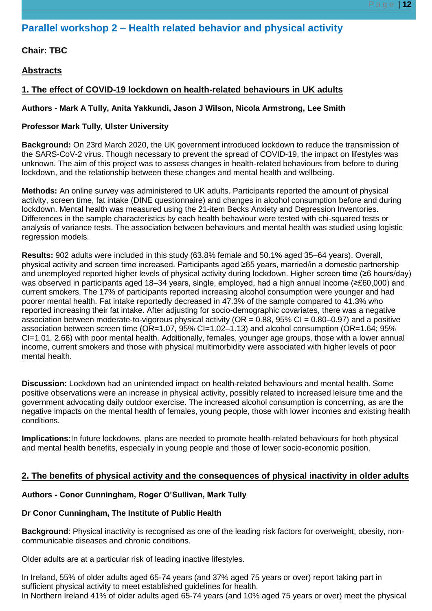# **Parallel workshop 2 – Health related behavior and physical activity**

**Chair: TBC**

**Abstracts**

# **1. The effect of COVID-19 lockdown on health-related behaviours in UK adults**

## **Authors - Mark A Tully, Anita Yakkundi, Jason J Wilson, Nicola Armstrong, Lee Smith**

## **Professor Mark Tully, Ulster University**

**Background:** On 23rd March 2020, the UK government introduced lockdown to reduce the transmission of the SARS-CoV-2 virus. Though necessary to prevent the spread of COVID-19, the impact on lifestyles was unknown. The aim of this project was to assess changes in health-related behaviours from before to during lockdown, and the relationship between these changes and mental health and wellbeing.

**Methods:** An online survey was administered to UK adults. Participants reported the amount of physical activity, screen time, fat intake (DINE questionnaire) and changes in alcohol consumption before and during lockdown. Mental health was measured using the 21-item Becks Anxiety and Depression Inventories. Differences in the sample characteristics by each health behaviour were tested with chi-squared tests or analysis of variance tests. The association between behaviours and mental health was studied using logistic regression models.

**Results:** 902 adults were included in this study (63.8% female and 50.1% aged 35–64 years). Overall, physical activity and screen time increased. Participants aged ≥65 years, married/in a domestic partnership and unemployed reported higher levels of physical activity during lockdown. Higher screen time (≥6 hours/day) was observed in participants aged 18–34 years, single, employed, had a high annual income (≥£60,000) and current smokers. The 17% of participants reported increasing alcohol consumption were younger and had poorer mental health. Fat intake reportedly decreased in 47.3% of the sample compared to 41.3% who reported increasing their fat intake. After adjusting for socio-demographic covariates, there was a negative association between moderate-to-vigorous physical activity ( $OR = 0.88$ ,  $95\%$  CI = 0.80–0.97) and a positive association between screen time (OR=1.07, 95% CI=1.02–1.13) and alcohol consumption (OR=1.64; 95% CI=1.01, 2.66) with poor mental health. Additionally, females, younger age groups, those with a lower annual income, current smokers and those with physical multimorbidity were associated with higher levels of poor mental health.

**Discussion:** Lockdown had an unintended impact on health-related behaviours and mental health. Some positive observations were an increase in physical activity, possibly related to increased leisure time and the government advocating daily outdoor exercise. The increased alcohol consumption is concerning, as are the negative impacts on the mental health of females, young people, those with lower incomes and existing health conditions.

**Implications:**In future lockdowns, plans are needed to promote health-related behaviours for both physical and mental health benefits, especially in young people and those of lower socio-economic position.

# **2. The benefits of physical activity and the consequences of physical inactivity in older adults**

# **Authors - Conor Cunningham, Roger O'Sullivan, Mark Tully**

# **Dr Conor Cunningham, The Institute of Public Health**

**Background**: Physical inactivity is recognised as one of the leading risk factors for overweight, obesity, noncommunicable diseases and chronic conditions.

Older adults are at a particular risk of leading inactive lifestyles.

In Ireland, 55% of older adults aged 65-74 years (and 37% aged 75 years or over) report taking part in sufficient physical activity to meet established guidelines for health. In Northern Ireland 41% of older adults aged 65-74 years (and 10% aged 75 years or over) meet the physical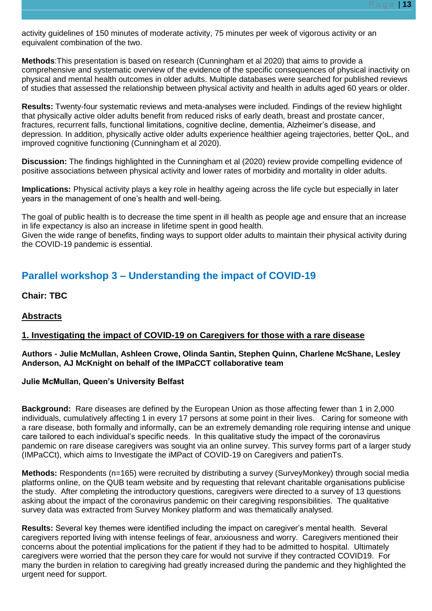activity guidelines of 150 minutes of moderate activity, 75 minutes per week of vigorous activity or an equivalent combination of the two.

**Methods**:This presentation is based on research (Cunningham et al 2020) that aims to provide a comprehensive and systematic overview of the evidence of the specific consequences of physical inactivity on physical and mental health outcomes in older adults. Multiple databases were searched for published reviews of studies that assessed the relationship between physical activity and health in adults aged 60 years or older.

**Results:** Twenty-four systematic reviews and meta-analyses were included. Findings of the review highlight that physically active older adults benefit from reduced risks of early death, breast and prostate cancer, fractures, recurrent falls, functional limitations, cognitive decline, dementia, Alzheimer's disease, and depression. In addition, physically active older adults experience healthier ageing trajectories, better QoL, and improved cognitive functioning (Cunningham et al 2020).

**Discussion:** The findings highlighted in the Cunningham et al (2020) review provide compelling evidence of positive associations between physical activity and lower rates of morbidity and mortality in older adults.

**Implications:** Physical activity plays a key role in healthy ageing across the life cycle but especially in later years in the management of one's health and well-being.

The goal of public health is to decrease the time spent in ill health as people age and ensure that an increase in life expectancy is also an increase in lifetime spent in good health.

Given the wide range of benefits, finding ways to support older adults to maintain their physical activity during the COVID-19 pandemic is essential.

# **Parallel workshop 3 – Understanding the impact of COVID-19**

# **Chair: TBC**

# **Abstracts**

# **1. Investigating the impact of COVID-19 on Caregivers for those with a rare disease**

#### **Authors - Julie McMullan, Ashleen Crowe, Olinda Santin, Stephen Quinn, Charlene McShane, Lesley Anderson, AJ McKnight on behalf of the IMPaCCT collaborative team**

# **Julie McMullan, Queen's University Belfast**

**Background:** Rare diseases are defined by the European Union as those affecting fewer than 1 in 2,000 individuals, cumulatively affecting 1 in every 17 persons at some point in their lives. Caring for someone with a rare disease, both formally and informally, can be an extremely demanding role requiring intense and unique care tailored to each individual's specific needs. In this qualitative study the impact of the coronavirus pandemic on rare disease caregivers was sought via an online survey. This survey forms part of a larger study (IMPaCCt), which aims to Investigate the iMPact of COVID-19 on Caregivers and patienTs.

**Methods:** Respondents (n=165) were recruited by distributing a survey (SurveyMonkey) through social media platforms online, on the QUB team website and by requesting that relevant charitable organisations publicise the study. After completing the introductory questions, caregivers were directed to a survey of 13 questions asking about the impact of the coronavirus pandemic on their caregiving responsibilities. The qualitative survey data was extracted from Survey Monkey platform and was thematically analysed.

**Results:** Several key themes were identified including the impact on caregiver's mental health. Several caregivers reported living with intense feelings of fear, anxiousness and worry. Caregivers mentioned their concerns about the potential implications for the patient if they had to be admitted to hospital. Ultimately caregivers were worried that the person they care for would not survive if they contracted COVID19. For many the burden in relation to caregiving had greatly increased during the pandemic and they highlighted the urgent need for support.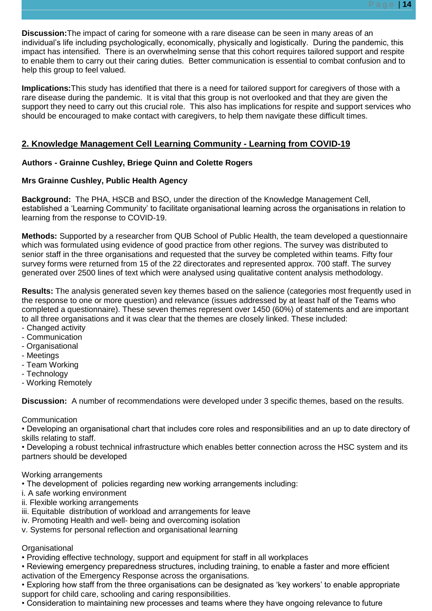**Discussion:**The impact of caring for someone with a rare disease can be seen in many areas of an individual's life including psychologically, economically, physically and logistically. During the pandemic, this impact has intensified. There is an overwhelming sense that this cohort requires tailored support and respite to enable them to carry out their caring duties. Better communication is essential to combat confusion and to help this group to feel valued.

**Implications:**This study has identified that there is a need for tailored support for caregivers of those with a rare disease during the pandemic. It is vital that this group is not overlooked and that they are given the support they need to carry out this crucial role. This also has implications for respite and support services who should be encouraged to make contact with caregivers, to help them navigate these difficult times.

# **2. Knowledge Management Cell Learning Community - Learning from COVID-19**

# **Authors - Grainne Cushley, Briege Quinn and Colette Rogers**

# **Mrs Grainne Cushley, Public Health Agency**

**Background:** The PHA, HSCB and BSO, under the direction of the Knowledge Management Cell, established a 'Learning Community' to facilitate organisational learning across the organisations in relation to learning from the response to COVID-19.

**Methods:** Supported by a researcher from QUB School of Public Health, the team developed a questionnaire which was formulated using evidence of good practice from other regions. The survey was distributed to senior staff in the three organisations and requested that the survey be completed within teams. Fifty four survey forms were returned from 15 of the 22 directorates and represented approx. 700 staff. The survey generated over 2500 lines of text which were analysed using qualitative content analysis methodology.

**Results:** The analysis generated seven key themes based on the salience (categories most frequently used in the response to one or more question) and relevance (issues addressed by at least half of the Teams who completed a questionnaire). These seven themes represent over 1450 (60%) of statements and are important to all three organisations and it was clear that the themes are closely linked. These included:

- Changed activity
- Communication
- Organisational
- Meetings
- Team Working
- Technology
- Working Remotely

**Discussion:** A number of recommendations were developed under 3 specific themes, based on the results.

# **Communication**

• Developing an organisational chart that includes core roles and responsibilities and an up to date directory of skills relating to staff.

• Developing a robust technical infrastructure which enables better connection across the HSC system and its partners should be developed

# Working arrangements

- The development of policies regarding new working arrangements including:
- i. A safe working environment
- ii. Flexible working arrangements
- iii. Equitable distribution of workload and arrangements for leave
- iv. Promoting Health and well- being and overcoming isolation
- v. Systems for personal reflection and organisational learning

# **Organisational**

- Providing effective technology, support and equipment for staff in all workplaces
- Reviewing emergency preparedness structures, including training, to enable a faster and more efficient activation of the Emergency Response across the organisations.
- Exploring how staff from the three organisations can be designated as 'key workers' to enable appropriate support for child care, schooling and caring responsibilities.
- Consideration to maintaining new processes and teams where they have ongoing relevance to future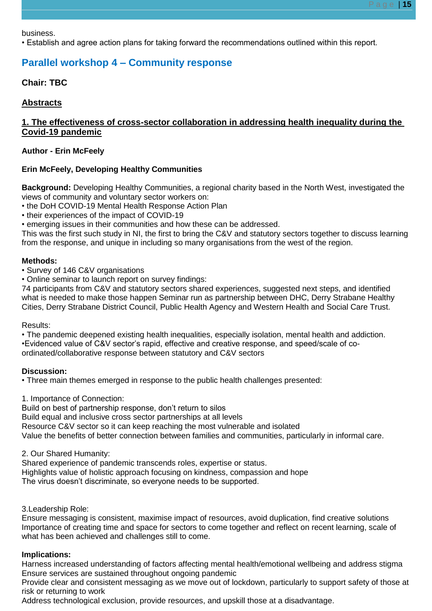business.

• Establish and agree action plans for taking forward the recommendations outlined within this report.

# **Parallel workshop 4 – Community response**

**Chair: TBC**

# **Abstracts**

# **1. The effectiveness of cross-sector collaboration in addressing health inequality during the Covid-19 pandemic**

# **Author - Erin McFeely**

# **Erin McFeely, Developing Healthy Communities**

**Background:** Developing Healthy Communities, a regional charity based in the North West, investigated the views of community and voluntary sector workers on:

• the DoH COVID-19 Mental Health Response Action Plan

• their experiences of the impact of COVID-19

• emerging issues in their communities and how these can be addressed.

This was the first such study in NI, the first to bring the C&V and statutory sectors together to discuss learning from the response, and unique in including so many organisations from the west of the region.

# **Methods:**

• Survey of 146 C&V organisations

• Online seminar to launch report on survey findings:

74 participants from C&V and statutory sectors shared experiences, suggested next steps, and identified what is needed to make those happen Seminar run as partnership between DHC, Derry Strabane Healthy Cities, Derry Strabane District Council, Public Health Agency and Western Health and Social Care Trust.

# Results:

• The pandemic deepened existing health inequalities, especially isolation, mental health and addiction. •Evidenced value of C&V sector's rapid, effective and creative response, and speed/scale of coordinated/collaborative response between statutory and C&V sectors

# **Discussion:**

• Three main themes emerged in response to the public health challenges presented:

1. Importance of Connection:

Build on best of partnership response, don't return to silos

Build equal and inclusive cross sector partnerships at all levels

Resource C&V sector so it can keep reaching the most vulnerable and isolated

Value the benefits of better connection between families and communities, particularly in informal care.

2. Our Shared Humanity:

Shared experience of pandemic transcends roles, expertise or status.

Highlights value of holistic approach focusing on kindness, compassion and hope The virus doesn't discriminate, so everyone needs to be supported.

3.Leadership Role:

Ensure messaging is consistent, maximise impact of resources, avoid duplication, find creative solutions Importance of creating time and space for sectors to come together and reflect on recent learning, scale of what has been achieved and challenges still to come.

# **Implications:**

Harness increased understanding of factors affecting mental health/emotional wellbeing and address stigma Ensure services are sustained throughout ongoing pandemic

Provide clear and consistent messaging as we move out of lockdown, particularly to support safety of those at risk or returning to work

Address technological exclusion, provide resources, and upskill those at a disadvantage.